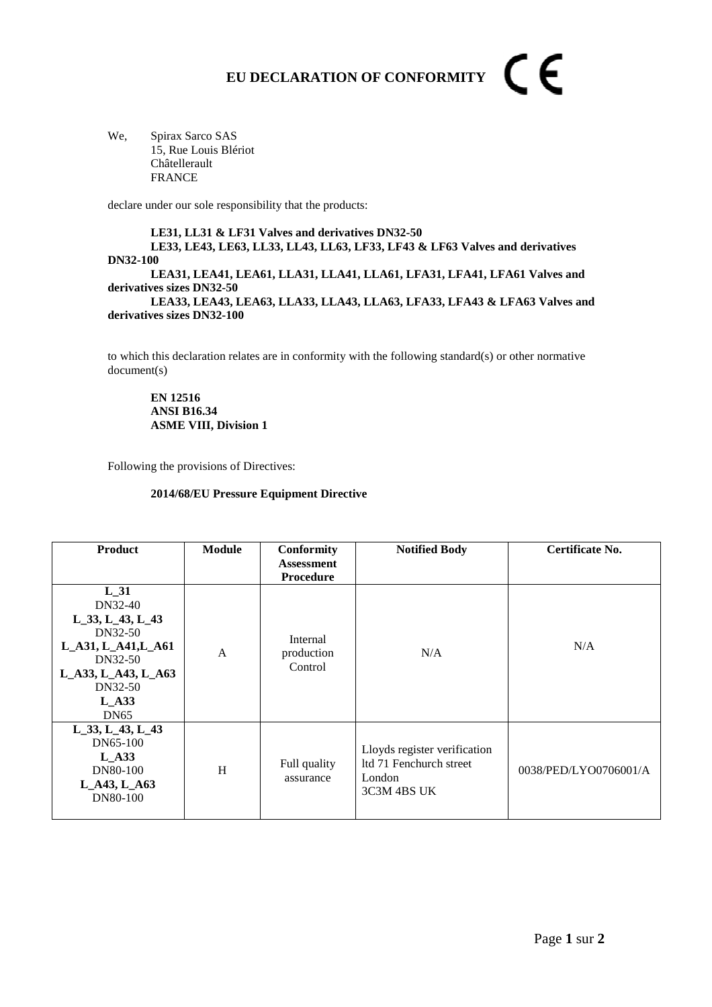## CE **EU DECLARATION OF CONFORMITY**

We, Spirax Sarco SAS 15, Rue Louis Blériot Châtellerault FRANCE

declare under our sole responsibility that the products:

**LE31, LL31 & LF31 Valves and derivatives DN32-50 LE33, LE43, LE63, LL33, LL43, LL63, LF33, LF43 & LF63 Valves and derivatives DN32-100 LEA31, LEA41, LEA61, LLA31, LLA41, LLA61, LFA31, LFA41, LFA61 Valves and derivatives sizes DN32-50 LEA33, LEA43, LEA63, LLA33, LLA43, LLA63, LFA33, LFA43 & LFA63 Valves and derivatives sizes DN32-100** 

to which this declaration relates are in conformity with the following standard(s) or other normative document(s)

**EN 12516 ANSI B16.34 ASME VIII, Division 1** 

Following the provisions of Directives:

## **2014/68/EU Pressure Equipment Directive**

| <b>Product</b>                                                                                                                                 | Module       | <b>Conformity</b><br><b>Assessment</b><br><b>Procedure</b> | <b>Notified Body</b>                                                             | Certificate No.       |
|------------------------------------------------------------------------------------------------------------------------------------------------|--------------|------------------------------------------------------------|----------------------------------------------------------------------------------|-----------------------|
| L 31<br>DN32-40<br>$L_33, L_43, L_43$<br>DN32-50<br>L_A31, L_A41, L_A61<br>DN32-50<br>L_A33, L_A43, L_A63<br>DN32-50<br>$L_A33$<br><b>DN65</b> | $\mathsf{A}$ | Internal<br>production<br>Control                          | N/A                                                                              | N/A                   |
| $L_33, L_43, L_43$<br>DN65-100<br>$L$ A33<br>DN80-100<br>L_A43, L_A63<br>DN80-100                                                              | H            | Full quality<br>assurance                                  | Lloyds register verification<br>ltd 71 Fenchurch street<br>London<br>3C3M 4BS UK | 0038/PED/LYO0706001/A |